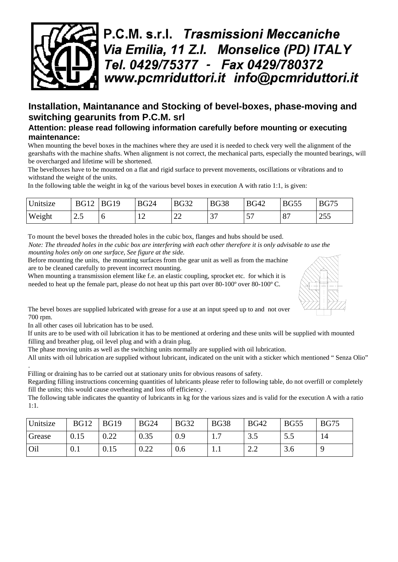

## **Installation, Maintanance and Stocking of bevel-boxes, phase-moving and switching gearunits from P.C.M. srl**

## **Attention: please read following information carefully before mounting or executing maintenance:**

When mounting the bevel boxes in the machines where they are used it is needed to check very well the alignment of the gearshafts with the machine shafts. When alignment is not correct, the mechanical parts, especially the mounted bearings, will be overcharged and lifetime will be shortened.

The bevelboxes have to be mounted on a flat and rigid surface to prevent movements, oscillations or vibrations and to withstand the weight of the units.

In the following table the weight in kg of the various bevel boxes in execution A with ratio 1:1, is given:

| Unitsize | <b>BG12</b> | <b>BG19</b> | <b>BG24</b>         | <b>BG32</b>  | <b>BG38</b> | <b>BG42</b> | <b>BG55</b>        | <b>BG75</b> |
|----------|-------------|-------------|---------------------|--------------|-------------|-------------|--------------------|-------------|
| Weight   | ر           |             | 1 <sub>0</sub><br>┸ | $\sim$<br>∠∠ |             | --<br>ັ     | $\circ$<br>$\circ$ | 255         |

To mount the bevel boxes the threaded holes in the cubic box, flanges and hubs should be used.

*Note: The threaded holes in the cubic box are interfering with each other therefore it is only advisable to use the mounting holes only on one surface, See figure at the side.*

Before mounting the units, the mounting surfaces from the gear unit as well as from the machine are to be cleaned carefully to prevent incorrect mounting.

When mounting a transmission element like f.e. an elastic coupling, sprocket etc. for which it is needed to heat up the female part, please do not heat up this part over 80-100° over 80-100° C.



In all other cases oil lubrication has to be used.

If units are to be used with oil lubrication it has to be mentioned at ordering and these units will be supplied with mounted filling and breather plug, oil level plug and with a drain plug.

The phase moving units as well as the switching units normally are supplied with oil lubrication.

All units with oil lubrication are supplied without lubricant, indicated on the unit with a sticker which mentioned " Senza Olio" .

Filling or draining has to be carried out at stationary units for obvious reasons of safety.

Regarding filling instructions concerning quantities of lubricants please refer to following table, do not overfill or completely fill the units; this would cause overheating and loss off efficiency .

The following table indicates the quantity of lubricants in kg for the various sizes and is valid for the execution A with a ratio 1:1.

| Unitsize | <b>BG12</b> | <b>BG19</b>  | <b>BG24</b> | <b>BG32</b> | <b>BG38</b>                   | <b>BG42</b> | <b>BG55</b> | <b>BG75</b> |
|----------|-------------|--------------|-------------|-------------|-------------------------------|-------------|-------------|-------------|
| Grease   | 0.15        | ስ ንን<br>0.44 | 0.35        | 0.9         | $\mathbf{1} \cdot \mathbf{1}$ | ں د         | 3.J         | 14          |
| Oil      | 0.1         | 0.15         | 0.22        | 0.6         |                               | 2.L         | 3.0         |             |